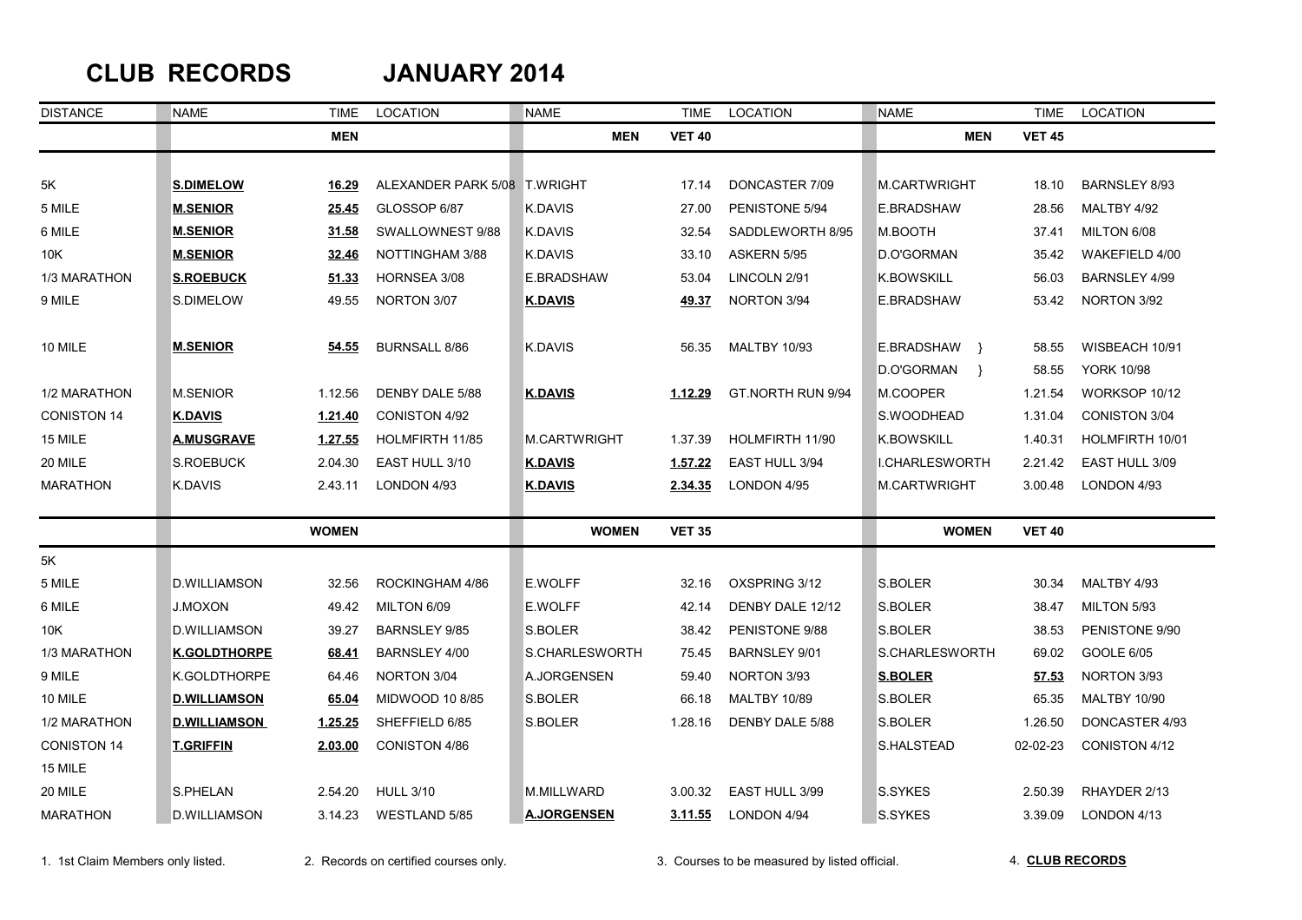## **CLUB RECORDS JANUARY 2014**

| <b>DISTANCE</b>    | <b>NAME</b>         | TIME         | LOCATION                     | <b>NAME</b>         | <b>TIME</b>    | <b>LOCATION</b>     | <b>NAME</b>                 | <b>TIME</b>   | LOCATION             |
|--------------------|---------------------|--------------|------------------------------|---------------------|----------------|---------------------|-----------------------------|---------------|----------------------|
|                    |                     | <b>MEN</b>   |                              | <b>MEN</b>          | <b>VET 40</b>  |                     | <b>MEN</b>                  | <b>VET 45</b> |                      |
|                    |                     |              |                              |                     |                |                     |                             |               |                      |
| 5K                 | <b>S.DIMELOW</b>    | 16.29        | ALEXANDER PARK 5/08 T.WRIGHT |                     | 17.14          | DONCASTER 7/09      | M.CARTWRIGHT                | 18.10         | BARNSLEY 8/93        |
| 5 MILE             | <b>M.SENIOR</b>     | 25.45        | GLOSSOP 6/87                 | K.DAVIS             | 27.00          | PENISTONE 5/94      | E.BRADSHAW                  | 28.56         | MALTBY 4/92          |
| 6 MILE             | <b>M.SENIOR</b>     | 31.58        | SWALLOWNEST 9/88             | K.DAVIS             | 32.54          | SADDLEWORTH 8/95    | M.BOOTH                     | 37.41         | MILTON 6/08          |
| 10K                | <b>M.SENIOR</b>     | 32.46        | NOTTINGHAM 3/88              | K.DAVIS             | 33.10          | ASKERN 5/95         | D.O'GORMAN                  | 35.42         | WAKEFIELD 4/00       |
| 1/3 MARATHON       | <b>S.ROEBUCK</b>    | 51.33        | HORNSEA 3/08                 | E.BRADSHAW          | 53.04          | LINCOLN 2/91        | <b>K.BOWSKILL</b>           | 56.03         | <b>BARNSLEY 4/99</b> |
| 9 MILE             | S.DIMELOW           | 49.55        | NORTON 3/07                  | K.DAVIS             | <u>49.37</u>   | NORTON 3/94         | E.BRADSHAW                  | 53.42         | NORTON 3/92          |
|                    |                     |              |                              |                     |                |                     |                             |               |                      |
| 10 MILE            | <b>M.SENIOR</b>     | 54.55        | <b>BURNSALL 8/86</b>         | K.DAVIS             | 56.35          | <b>MALTBY 10/93</b> | E.BRADSHAW }                | 58.55         | WISBEACH 10/91       |
|                    |                     |              |                              |                     |                |                     | D.O'GORMAN<br>$\rightarrow$ | 58.55         | <b>YORK 10/98</b>    |
| 1/2 MARATHON       | M.SENIOR            | 1.12.56      | DENBY DALE 5/88              | <b>K.DAVIS</b>      | 1.12.29        | GT.NORTH RUN 9/94   | M.COOPER                    | 1.21.54       | WORKSOP 10/12        |
| <b>CONISTON 14</b> | <b>K.DAVIS</b>      | 1.21.40      | CONISTON 4/92                |                     |                |                     | S.WOODHEAD                  | 1.31.04       | <b>CONISTON 3/04</b> |
| 15 MILE            | <b>A.MUSGRAVE</b>   | 1.27.55      | HOLMFIRTH 11/85              | <b>M.CARTWRIGHT</b> | 1.37.39        | HOLMFIRTH 11/90     | <b>K.BOWSKILL</b>           | 1.40.31       | HOLMFIRTH 10/01      |
| 20 MILE            | <b>S.ROEBUCK</b>    | 2.04.30      | EAST HULL 3/10               | <b>K.DAVIS</b>      | 1.57.22        | EAST HULL 3/94      | I.CHARLESWORTH              | 2.21.42       | EAST HULL 3/09       |
| <b>MARATHON</b>    | <b>K.DAVIS</b>      | 2.43.11      | LONDON 4/93                  | <b>K.DAVIS</b>      | 2.34.35        | LONDON 4/95         | <b>M.CARTWRIGHT</b>         | 3.00.48       | LONDON 4/93          |
|                    |                     | <b>WOMEN</b> |                              | <b>WOMEN</b>        | <b>VET 35</b>  |                     | <b>WOMEN</b>                | <b>VET 40</b> |                      |
|                    |                     |              |                              |                     |                |                     |                             |               |                      |
| 5K                 |                     |              |                              |                     |                |                     |                             |               |                      |
| 5 MILE             | <b>D.WILLIAMSON</b> | 32.56        | ROCKINGHAM 4/86              | E.WOLFF             | 32.16          | OXSPRING 3/12       | S.BOLER                     | 30.34         | MALTBY 4/93          |
| 6 MILE             | <b>J.MOXON</b>      | 49.42        | MILTON 6/09                  | E.WOLFF             | 42.14          | DENBY DALE 12/12    | S.BOLER                     | 38.47         | MILTON 5/93          |
| 10K                | <b>D.WILLIAMSON</b> | 39.27        | <b>BARNSLEY 9/85</b>         | S.BOLER             | 38.42          | PENISTONE 9/88      | S.BOLER                     | 38.53         | PENISTONE 9/90       |
| 1/3 MARATHON       | <b>K.GOLDTHORPE</b> | 68.41        | BARNSLEY 4/00                | S.CHARLESWORTH      | 75.45          | BARNSLEY 9/01       | S.CHARLESWORTH              | 69.02         | GOOLE 6/05           |
| 9 MILE             | K.GOLDTHORPE        | 64.46        | NORTON 3/04                  | A.JORGENSEN         | 59.40          | NORTON 3/93         | <b>S.BOLER</b>              | 57.53         | NORTON 3/93          |
| 10 MILE            | <b>D.WILLIAMSON</b> | 65.04        | MIDWOOD 10 8/85              | S.BOLER             | 66.18          | <b>MALTBY 10/89</b> | S.BOLER                     | 65.35         | <b>MALTBY 10/90</b>  |
| 1/2 MARATHON       | <b>D.WILLIAMSON</b> | 1.25.25      | SHEFFIELD 6/85               | S.BOLER             | 1.28.16        | DENBY DALE 5/88     | S.BOLER                     | 1.26.50       | DONCASTER 4/93       |
| <b>CONISTON 14</b> | <b>T.GRIFFIN</b>    | 2.03.00      | CONISTON 4/86                |                     |                |                     | S.HALSTEAD                  | 02-02-23      | CONISTON 4/12        |
| 15 MILE            |                     |              |                              |                     |                |                     |                             |               |                      |
| 20 MILE            | S.PHELAN            | 2.54.20      | <b>HULL 3/10</b>             | M.MILLWARD          | 3.00.32        | EAST HULL 3/99      | S.SYKES                     | 2.50.39       | RHAYDER 2/13         |
| <b>MARATHON</b>    | D.WILLIAMSON        | 3.14.23      | WESTLAND 5/85                | <u>A.JORGENSEN</u>  | <u>3.11.55</u> | LONDON 4/94         | S.SYKES                     | 3.39.09       | LONDON 4/13          |

1. 1st Claim Members only listed. 2. Records on certified courses only. 3. Courses to be measured by listed official. 4. **CLUB RECORDS**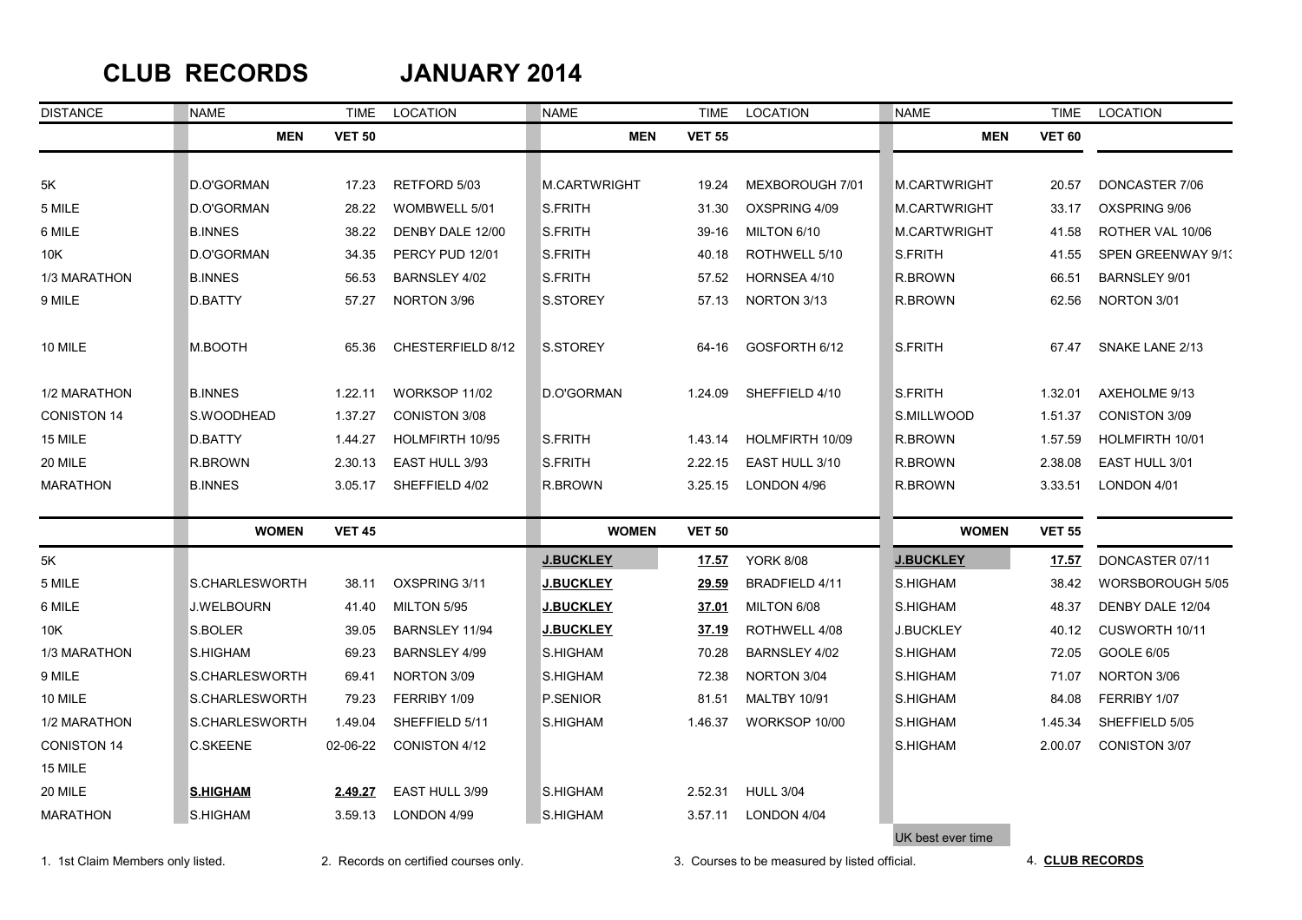## **CLUB RECORDS JANUARY 2014**

| <b>DISTANCE</b>    | <b>NAME</b>           | <b>TIME</b>   | LOCATION             | <b>NAME</b>         | <b>TIME</b>   | <b>LOCATION</b>       | <b>NAME</b>         | <b>TIME</b>                                                                                                   | LOCATION                  |
|--------------------|-----------------------|---------------|----------------------|---------------------|---------------|-----------------------|---------------------|---------------------------------------------------------------------------------------------------------------|---------------------------|
|                    | <b>MEN</b>            | <b>VET 50</b> |                      | <b>MEN</b>          | <b>VET 55</b> |                       | <b>MEN</b>          | <b>VET 60</b>                                                                                                 |                           |
|                    |                       |               |                      |                     |               |                       |                     |                                                                                                               |                           |
| 5K                 | D.O'GORMAN            | 17.23         | RETFORD 5/03         | <b>M.CARTWRIGHT</b> | 19.24         | MEXBOROUGH 7/01       | <b>M.CARTWRIGHT</b> | 20.57                                                                                                         | DONCASTER 7/06            |
| 5 MILE             | D.O'GORMAN            | 28.22         | WOMBWELL 5/01        | S.FRITH             | 31.30         | OXSPRING 4/09         | <b>M.CARTWRIGHT</b> | 33.17                                                                                                         | OXSPRING 9/06             |
| 6 MILE             | <b>B.INNES</b>        | 38.22         | DENBY DALE 12/00     | <b>S.FRITH</b>      | 39-16         | MILTON 6/10           | M.CARTWRIGHT        | 41.58                                                                                                         | ROTHER VAL 10/06          |
| 10K                | D.O'GORMAN            | 34.35         | PERCY PUD 12/01      | S.FRITH             | 40.18         | ROTHWELL 5/10         | <b>S.FRITH</b>      | 41.55                                                                                                         | <b>SPEN GREENWAY 9/1:</b> |
| 1/3 MARATHON       | <b>B.INNES</b>        | 56.53         | BARNSLEY 4/02        | S.FRITH             | 57.52         | HORNSEA 4/10          | R.BROWN             | 66.51                                                                                                         | <b>BARNSLEY 9/01</b>      |
| 9 MILE             | D.BATTY               | 57.27         | NORTON 3/96          | S.STOREY            | 57.13         | NORTON 3/13           | R.BROWN             | 62.56                                                                                                         | NORTON 3/01               |
| 10 MILE            | M.BOOTH               | 65.36         | CHESTERFIELD 8/12    | S.STOREY            | 64-16         | GOSFORTH 6/12         | S.FRITH             | 67.47                                                                                                         | SNAKE LANE 2/13           |
| 1/2 MARATHON       | <b>B.INNES</b>        | 1.22.11       | WORKSOP 11/02        | D.O'GORMAN          | 1.24.09       | SHEFFIELD 4/10        | S.FRITH             | 1.32.01                                                                                                       | AXEHOLME 9/13             |
| <b>CONISTON 14</b> | S.WOODHEAD            | 1.37.27       | <b>CONISTON 3/08</b> |                     |               |                       | S.MILLWOOD          | 1.51.37                                                                                                       | <b>CONISTON 3/09</b>      |
| 15 MILE            | D.BATTY               | 1.44.27       | HOLMFIRTH 10/95      | S.FRITH             | 1.43.14       | HOLMFIRTH 10/09       | <b>R.BROWN</b>      | 1.57.59                                                                                                       | HOLMFIRTH 10/01           |
| 20 MILE            | R.BROWN               | 2.30.13       | EAST HULL 3/93       | <b>S.FRITH</b>      | 2.22.15       | EAST HULL 3/10        | R.BROWN             | 2.38.08                                                                                                       | EAST HULL 3/01            |
| <b>MARATHON</b>    | <b>B.INNES</b>        | 3.05.17       | SHEFFIELD 4/02       | R.BROWN             | 3.25.15       | LONDON 4/96           | R.BROWN             | 3.33.51<br><b>VET 55</b><br>17.57<br>38.42<br>48.37<br>40.12<br>72.05<br>71.07<br>84.08<br>1.45.34<br>2.00.07 | LONDON 4/01               |
|                    | <b>WOMEN</b>          | <b>VET 45</b> |                      | <b>WOMEN</b>        | <b>VET 50</b> |                       | <b>WOMEN</b>        |                                                                                                               |                           |
| 5K                 |                       |               |                      | <b>J.BUCKLEY</b>    | 17.57         | <b>YORK 8/08</b>      | <b>J.BUCKLEY</b>    |                                                                                                               | DONCASTER 07/11           |
| 5 MILE             | <b>S.CHARLESWORTH</b> | 38.11         | OXSPRING 3/11        | <b>J.BUCKLEY</b>    | 29.59         | <b>BRADFIELD 4/11</b> | S.HIGHAM            |                                                                                                               | WORSBOROUGH 5/05          |
| 6 MILE             | <b>J.WELBOURN</b>     | 41.40         | MILTON 5/95          | <b>J.BUCKLEY</b>    | 37.01         | MILTON 6/08           | S.HIGHAM            |                                                                                                               | DENBY DALE 12/04          |
| 10K                | S.BOLER               | 39.05         | BARNSLEY 11/94       | <b>J.BUCKLEY</b>    | 37.19         | ROTHWELL 4/08         | <b>J.BUCKLEY</b>    |                                                                                                               | CUSWORTH 10/11            |
| 1/3 MARATHON       | S.HIGHAM              | 69.23         | BARNSLEY 4/99        | S.HIGHAM            | 70.28         | BARNSLEY 4/02         | S.HIGHAM            |                                                                                                               | GOOLE 6/05                |
| 9 MILE             | S.CHARLESWORTH        | 69.41         | NORTON 3/09          | S.HIGHAM            | 72.38         | NORTON 3/04           | S.HIGHAM            |                                                                                                               | NORTON 3/06               |
| 10 MILE            | S.CHARLESWORTH        | 79.23         | FERRIBY 1/09         | P.SENIOR            | 81.51         | <b>MALTBY 10/91</b>   | S.HIGHAM            |                                                                                                               | FERRIBY 1/07              |
| 1/2 MARATHON       | S.CHARLESWORTH        | 1.49.04       | SHEFFIELD 5/11       | S.HIGHAM            | 1.46.37       | WORKSOP 10/00         | S.HIGHAM            |                                                                                                               | SHEFFIELD 5/05            |
| <b>CONISTON 14</b> | C.SKEENE              | 02-06-22      | CONISTON 4/12        |                     |               |                       | <b>S.HIGHAM</b>     |                                                                                                               | <b>CONISTON 3/07</b>      |
| 15 MILE            |                       |               |                      |                     |               |                       |                     |                                                                                                               |                           |
| 20 MILE            | <b>S.HIGHAM</b>       | 2.49.27       | EAST HULL 3/99       | S.HIGHAM            | 2.52.31       | <b>HULL 3/04</b>      |                     |                                                                                                               |                           |
| <b>MARATHON</b>    | S.HIGHAM              | 3.59.13       | LONDON 4/99          | S.HIGHAM            | 3.57.11       | LONDON 4/04           |                     |                                                                                                               |                           |
|                    |                       |               |                      |                     |               |                       | UK best ever time   |                                                                                                               |                           |

1. 1st Claim Members only listed. 2. Records on certified courses only. 3. Courses to be measured by listed official. 4. **CLUB RECORDS**